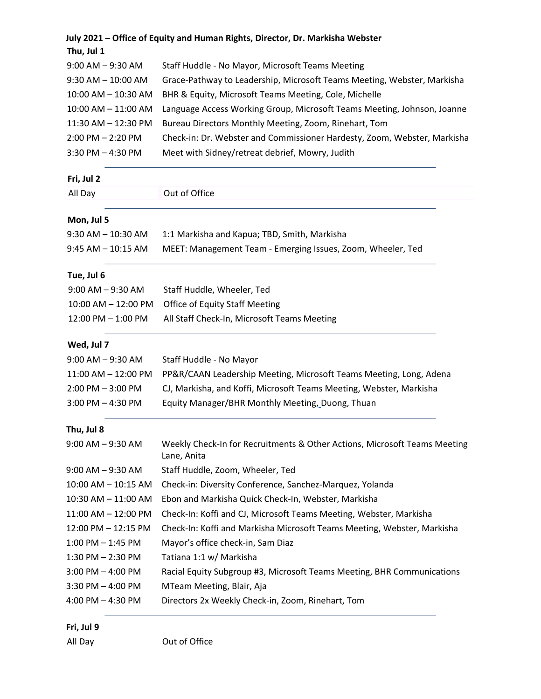|                        | July 2021 – Office of Equity and Human Rights, Director, Dr. Markisha Webster            |
|------------------------|------------------------------------------------------------------------------------------|
| Thu, Jul 1             |                                                                                          |
| $9:00$ AM $-9:30$ AM   | Staff Huddle - No Mayor, Microsoft Teams Meeting                                         |
| $9:30$ AM $- 10:00$ AM | Grace-Pathway to Leadership, Microsoft Teams Meeting, Webster, Markisha                  |
| 10:00 AM - 10:30 AM    | BHR & Equity, Microsoft Teams Meeting, Cole, Michelle                                    |
| 10:00 AM - 11:00 AM    | Language Access Working Group, Microsoft Teams Meeting, Johnson, Joanne                  |
| 11:30 AM - 12:30 PM    | Bureau Directors Monthly Meeting, Zoom, Rinehart, Tom                                    |
| $2:00$ PM $- 2:20$ PM  | Check-in: Dr. Webster and Commissioner Hardesty, Zoom, Webster, Markisha                 |
| $3:30$ PM $-4:30$ PM   | Meet with Sidney/retreat debrief, Mowry, Judith                                          |
| Fri, Jul 2             |                                                                                          |
| All Day                | Out of Office                                                                            |
| Mon, Jul 5             |                                                                                          |
| $9:30$ AM $- 10:30$ AM | 1:1 Markisha and Kapua; TBD, Smith, Markisha                                             |
| $9:45$ AM $-$ 10:15 AM | MEET: Management Team - Emerging Issues, Zoom, Wheeler, Ted                              |
| Tue, Jul 6             |                                                                                          |
| $9:00$ AM $-9:30$ AM   | Staff Huddle, Wheeler, Ted                                                               |
| 10:00 AM - 12:00 PM    | <b>Office of Equity Staff Meeting</b>                                                    |
| 12:00 PM - 1:00 PM     | All Staff Check-In, Microsoft Teams Meeting                                              |
| Wed, Jul 7             |                                                                                          |
| $9:00$ AM $-9:30$ AM   | Staff Huddle - No Mayor                                                                  |
| 11:00 AM - 12:00 PM    | PP&R/CAAN Leadership Meeting, Microsoft Teams Meeting, Long, Adena                       |
| $2:00$ PM $-3:00$ PM   | CJ, Markisha, and Koffi, Microsoft Teams Meeting, Webster, Markisha                      |
| $3:00$ PM $-4:30$ PM   | Equity Manager/BHR Monthly Meeting, Duong, Thuan                                         |
| Thu, Jul 8             |                                                                                          |
| $9:00$ AM $-9:30$ AM   | Weekly Check-In for Recruitments & Other Actions, Microsoft Teams Meeting<br>Lane, Anita |
| $9:00$ AM $-9:30$ AM   | Staff Huddle, Zoom, Wheeler, Ted                                                         |
| 10:00 AM - 10:15 AM    | Check-in: Diversity Conference, Sanchez-Marquez, Yolanda                                 |
| 10:30 AM - 11:00 AM    | Ebon and Markisha Quick Check-In, Webster, Markisha                                      |
| 11:00 AM - 12:00 PM    | Check-In: Koffi and CJ, Microsoft Teams Meeting, Webster, Markisha                       |
| 12:00 PM - 12:15 PM    | Check-In: Koffi and Markisha Microsoft Teams Meeting, Webster, Markisha                  |
| $1:00$ PM $-1:45$ PM   | Mayor's office check-in, Sam Diaz                                                        |
| $1:30$ PM $- 2:30$ PM  | Tatiana 1:1 w/ Markisha                                                                  |
| $3:00$ PM $-$ 4:00 PM  | Racial Equity Subgroup #3, Microsoft Teams Meeting, BHR Communications                   |
|                        |                                                                                          |
| $3:30$ PM $-$ 4:00 PM  | MTeam Meeting, Blair, Aja                                                                |

# **Fri, Jul 9**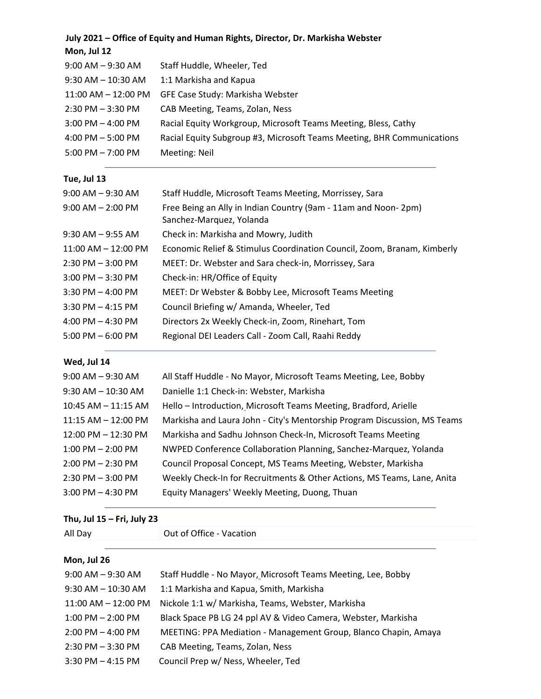# **July 2021 – Office of Equity and Human Rights, Director, Dr. Markisha Webster Mon, Jul 12** 9:00 AM – 9:30 AM Staff Huddle, Wheeler, Ted 9:30 AM – 10:30 AM 1:1 Markisha and Kapua 11:00 AM – 12:00 PM GFE Case Study: Markisha Webster 2:30 PM – 3:30 PM CAB Meeting, Teams, Zolan, Ness 3:00 PM – 4:00 PM Racial Equity Workgroup, Microsoft Teams Meeting, Bless, Cathy 4:00 PM – 5:00 PM Racial Equity Subgroup #3, Microsoft Teams Meeting, BHR Communications 5:00 PM – 7:00 PM Meeting: Neil **Tue, Jul 13** 9:00 AM - 9:30 AM Staff Huddle, Microsoft Teams Meeting, Morrissey, Sara 9:00 AM – 2:00 PM Free Being an Ally in Indian Country (9am - 11am and Noon- 2pm) Sanchez-Marquez, Yolanda 9:30 AM – 9:55 AM Check in: Markisha and Mowry, Judith 11:00 AM – 12:00 PM Economic Relief & Stimulus Coordination Council, Zoom, Branam, Kimberly 2:30 PM – 3:00 PM MEET: Dr. Webster and Sara check-in, Morrissey, Sara 3:00 PM – 3:30 PM Check-in: HR/Office of Equity 3:30 PM – 4:00 PM MEET: Dr Webster & Bobby Lee, Microsoft Teams Meeting 3:30 PM – 4:15 PM Council Briefing w/ Amanda, Wheeler, Ted 4:00 PM – 4:30 PM Directors 2x Weekly Check-in, Zoom, Rinehart, Tom

#### **Wed, Jul 14**

| $9:00$ AM $-9:30$ AM   | All Staff Huddle - No Mayor, Microsoft Teams Meeting, Lee, Bobby         |
|------------------------|--------------------------------------------------------------------------|
| $9:30$ AM $- 10:30$ AM | Danielle 1:1 Check-in: Webster, Markisha                                 |
| 10:45 AM - 11:15 AM    | Hello - Introduction, Microsoft Teams Meeting, Bradford, Arielle         |
| $11:15$ AM $-12:00$ PM | Markisha and Laura John - City's Mentorship Program Discussion, MS Teams |
| 12:00 PM - 12:30 PM    | Markisha and Sadhu Johnson Check-In, Microsoft Teams Meeting             |
| $1:00$ PM $- 2:00$ PM  | NWPED Conference Collaboration Planning, Sanchez-Marquez, Yolanda        |
| $2:00$ PM $-2:30$ PM   | Council Proposal Concept, MS Teams Meeting, Webster, Markisha            |
| $2:30$ PM $-3:00$ PM   | Weekly Check-In for Recruitments & Other Actions, MS Teams, Lane, Anita  |
| $3:00$ PM $-4:30$ PM   | Equity Managers' Weekly Meeting, Duong, Thuan                            |

#### **Thu, Jul 15 – Fri, July 23**

All Day **Out of Office - Vacation** 

5:00 PM – 6:00 PM Regional DEI Leaders Call - Zoom Call, Raahi Reddy

#### **Mon, Jul 26**

| $9:00$ AM $-9:30$ AM    | Staff Huddle - No Mayor, Microsoft Teams Meeting, Lee, Bobby    |
|-------------------------|-----------------------------------------------------------------|
| $9:30$ AM $- 10:30$ AM  | 1:1 Markisha and Kapua, Smith, Markisha                         |
| $11:00$ AM $- 12:00$ PM | Nickole 1:1 w/ Markisha, Teams, Webster, Markisha               |
| $1:00$ PM $- 2:00$ PM   | Black Space PB LG 24 ppl AV & Video Camera, Webster, Markisha   |
| $2:00$ PM $-$ 4:00 PM   | MEETING: PPA Mediation - Management Group, Blanco Chapin, Amaya |
| $2:30$ PM $-3:30$ PM    | CAB Meeting, Teams, Zolan, Ness                                 |
| $3:30$ PM $-$ 4:15 PM   | Council Prep w/ Ness, Wheeler, Ted                              |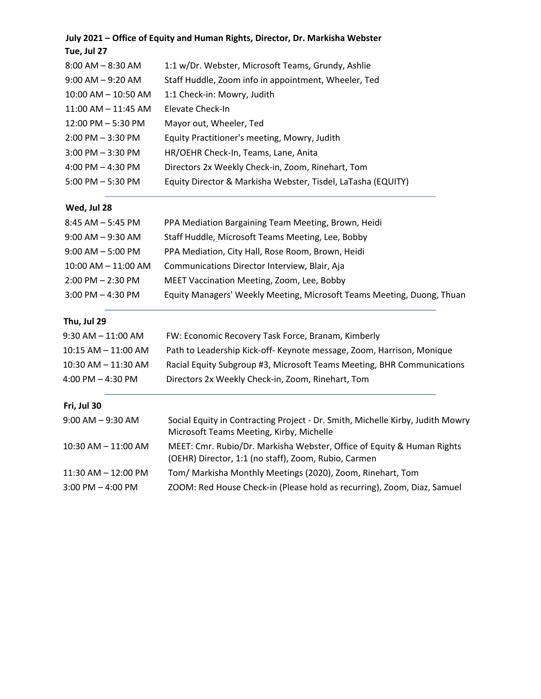| July 2021 - Office of Equity and Human Rights, Director, Dr. Markisha Webster |                                                                                                                                |
|-------------------------------------------------------------------------------|--------------------------------------------------------------------------------------------------------------------------------|
| Tue, Jul 27                                                                   |                                                                                                                                |
| $8:00$ AM $-8:30$ AM                                                          | 1:1 w/Dr. Webster, Microsoft Teams, Grundy, Ashlie                                                                             |
| $9:00$ AM $-9:20$ AM                                                          | Staff Huddle, Zoom info in appointment, Wheeler, Ted                                                                           |
| 10:00 AM - 10:50 AM                                                           | 1:1 Check-in: Mowry, Judith                                                                                                    |
| 11:00 AM - 11:45 AM                                                           | Elevate Check-In                                                                                                               |
| 12:00 PM - 5:30 PM                                                            | Mayor out, Wheeler, Ted                                                                                                        |
| $2:00$ PM $-3:30$ PM                                                          | Equity Practitioner's meeting, Mowry, Judith                                                                                   |
| 3:00 PM - 3:30 PM                                                             | HR/OEHR Check-In, Teams, Lane, Anita                                                                                           |
| $4:00$ PM $- 4:30$ PM                                                         | Directors 2x Weekly Check-in, Zoom, Rinehart, Tom                                                                              |
| $5:00$ PM $-5:30$ PM                                                          | Equity Director & Markisha Webster, Tisdel, LaTasha (EQUITY)                                                                   |
| Wed, Jul 28                                                                   |                                                                                                                                |
| $8:45$ AM $-5:45$ PM                                                          | PPA Mediation Bargaining Team Meeting, Brown, Heidi                                                                            |
| $9:00$ AM $-9:30$ AM                                                          | Staff Huddle, Microsoft Teams Meeting, Lee, Bobby                                                                              |
| $9:00$ AM $-5:00$ PM                                                          | PPA Mediation, City Hall, Rose Room, Brown, Heidi                                                                              |
| 10:00 AM - 11:00 AM                                                           | Communications Director Interview, Blair, Aja                                                                                  |
| $2:00$ PM $- 2:30$ PM                                                         | MEET Vaccination Meeting, Zoom, Lee, Bobby                                                                                     |
| $3:00$ PM $- 4:30$ PM                                                         | Equity Managers' Weekly Meeting, Microsoft Teams Meeting, Duong, Thuan                                                         |
| Thu, Jul 29                                                                   |                                                                                                                                |
| 9:30 AM – 11:00 AM                                                            | FW: Economic Recovery Task Force, Branam, Kimberly                                                                             |
| 10:15 AM - 11:00 AM                                                           | Path to Leadership Kick-off- Keynote message, Zoom, Harrison, Monique                                                          |
| 10:30 AM - 11:30 AM                                                           | Racial Equity Subgroup #3, Microsoft Teams Meeting, BHR Communications                                                         |
| 4:00 PM – 4:30 PM                                                             | Directors 2x Weekly Check-in, Zoom, Rinehart, Tom                                                                              |
| Fri, Jul 30                                                                   |                                                                                                                                |
| 9:00 AM – 9:30 AM                                                             | Social Equity in Contracting Project - Dr. Smith, Michelle Kirby, Judith Mowry<br>Microsoft Teams Meeting, Kirby, Michelle     |
| 10:30 AM - 11:00 AM                                                           | MEET: Cmr. Rubio/Dr. Markisha Webster, Office of Equity & Human Rights<br>(OEHR) Director, 1:1 (no staff), Zoom, Rubio, Carmen |
| 11:30 AM – 12:00 PM                                                           | Tom/ Markisha Monthly Meetings (2020), Zoom, Rinehart, Tom                                                                     |
| 3:00 PM - 4:00 PM                                                             | ZOOM: Red House Check-in (Please hold as recurring), Zoom, Diaz, Samuel                                                        |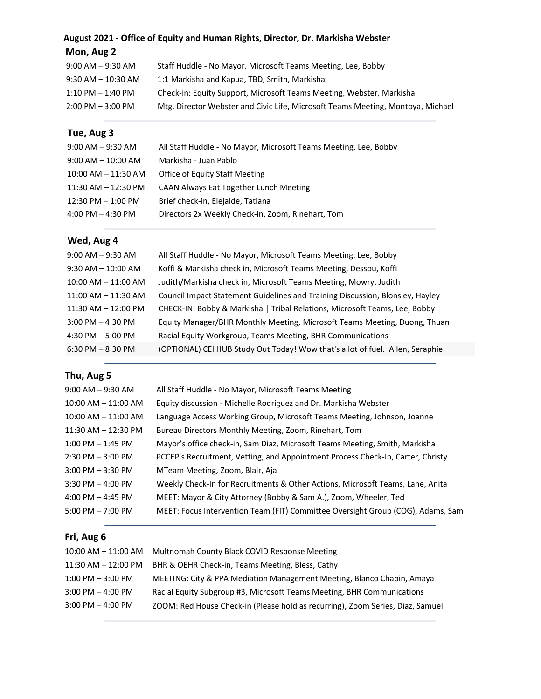### **August 2021 - Office of Equity and Human Rights, Director, Dr. Markisha Webster**

| Mon, Aug 2 |  |  |
|------------|--|--|
|------------|--|--|

| $9:00$ AM $-9:30$ AM  | Staff Huddle - No Mayor, Microsoft Teams Meeting, Lee, Bobby                    |
|-----------------------|---------------------------------------------------------------------------------|
| $9:30$ AM $-10:30$ AM | 1:1 Markisha and Kapua, TBD, Smith, Markisha                                    |
| $1:10$ PM $-$ 1:40 PM | Check-in: Equity Support, Microsoft Teams Meeting, Webster, Markisha            |
| $2:00$ PM $-3:00$ PM  | Mtg. Director Webster and Civic Life, Microsoft Teams Meeting, Montoya, Michael |
|                       |                                                                                 |

### **Tue, Aug 3**

| $9:00$ AM $-9:30$ AM    | All Staff Huddle - No Mayor, Microsoft Teams Meeting, Lee, Bobby |
|-------------------------|------------------------------------------------------------------|
| $9:00$ AM $-10:00$ AM   | Markisha - Juan Pablo                                            |
| $10:00$ AM $- 11:30$ AM | <b>Office of Equity Staff Meeting</b>                            |
| $11:30$ AM $- 12:30$ PM | CAAN Always Eat Together Lunch Meeting                           |
| $12:30$ PM $-1:00$ PM   | Brief check-in, Elejalde, Tatiana                                |
| 4:00 PM $-$ 4:30 PM     | Directors 2x Weekly Check-in, Zoom, Rinehart, Tom                |
|                         |                                                                  |

### **Wed, Aug 4**

| $9:00$ AM $-9:30$ AM    | All Staff Huddle - No Mayor, Microsoft Teams Meeting, Lee, Bobby              |
|-------------------------|-------------------------------------------------------------------------------|
| $9:30$ AM $-$ 10:00 AM  | Koffi & Markisha check in, Microsoft Teams Meeting, Dessou, Koffi             |
| $10:00$ AM $- 11:00$ AM | Judith/Markisha check in, Microsoft Teams Meeting, Mowry, Judith              |
| $11:00$ AM $-11:30$ AM  | Council Impact Statement Guidelines and Training Discussion, Blonsley, Hayley |
| $11:30$ AM $- 12:00$ PM | CHECK-IN: Bobby & Markisha   Tribal Relations, Microsoft Teams, Lee, Bobby    |
| $3:00$ PM $-$ 4:30 PM   | Equity Manager/BHR Monthly Meeting, Microsoft Teams Meeting, Duong, Thuan     |
| 4:30 PM $-$ 5:00 PM     | Racial Equity Workgroup, Teams Meeting, BHR Communications                    |
| $6:30$ PM $-8:30$ PM    | (OPTIONAL) CEI HUB Study Out Today! Wow that's a lot of fuel. Allen, Seraphie |
|                         |                                                                               |

### **Thu, Aug 5**

| $9:00$ AM $-9:30$ AM    | All Staff Huddle - No Mayor, Microsoft Teams Meeting                            |
|-------------------------|---------------------------------------------------------------------------------|
| $10:00$ AM $- 11:00$ AM | Equity discussion - Michelle Rodriguez and Dr. Markisha Webster                 |
| 10:00 AM - 11:00 AM     | Language Access Working Group, Microsoft Teams Meeting, Johnson, Joanne         |
| $11:30$ AM $-12:30$ PM  | Bureau Directors Monthly Meeting, Zoom, Rinehart, Tom                           |
| $1:00$ PM $-1:45$ PM    | Mayor's office check-in, Sam Diaz, Microsoft Teams Meeting, Smith, Markisha     |
| $2:30$ PM $-3:00$ PM    | PCCEP's Recruitment, Vetting, and Appointment Process Check-In, Carter, Christy |
| $3:00$ PM $-3:30$ PM    | MTeam Meeting, Zoom, Blair, Aja                                                 |
| $3:30$ PM $-$ 4:00 PM   | Weekly Check-In for Recruitments & Other Actions, Microsoft Teams, Lane, Anita  |
| 4:00 PM $-$ 4:45 PM     | MEET: Mayor & City Attorney (Bobby & Sam A.), Zoom, Wheeler, Ted                |
| $5:00$ PM $- 7:00$ PM   | MEET: Focus Intervention Team (FIT) Committee Oversight Group (COG), Adams, Sam |

### **Fri, Aug 6**

|                         | 10:00 AM - 11:00 AM Multnomah County Black COVID Response Meeting              |
|-------------------------|--------------------------------------------------------------------------------|
| $11:30$ AM $- 12:00$ PM | BHR & OEHR Check-in, Teams Meeting, Bless, Cathy                               |
| $1:00$ PM $-3:00$ PM    | MEETING: City & PPA Mediation Management Meeting, Blanco Chapin, Amaya         |
| $3:00$ PM $-$ 4:00 PM   | Racial Equity Subgroup #3, Microsoft Teams Meeting, BHR Communications         |
| $3:00$ PM $-$ 4:00 PM   | ZOOM: Red House Check-in (Please hold as recurring), Zoom Series, Diaz, Samuel |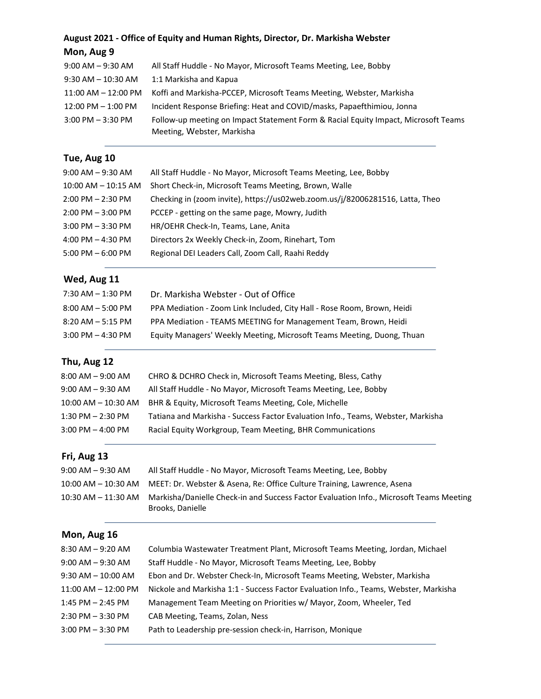## **August 2021 - Office of Equity and Human Rights, Director, Dr. Markisha Webster Mon, Aug 9**

| $9:00$ AM $-9:30$ AM   | All Staff Huddle - No Mayor, Microsoft Teams Meeting, Lee, Bobby                   |
|------------------------|------------------------------------------------------------------------------------|
| $9:30$ AM $- 10:30$ AM | 1:1 Markisha and Kapua                                                             |
| $11:00$ AM $-12:00$ PM | Koffi and Markisha-PCCEP, Microsoft Teams Meeting, Webster, Markisha               |
| $12:00$ PM $-1:00$ PM  | Incident Response Briefing: Heat and COVID/masks, Papaefthimiou, Jonna             |
| $3:00$ PM $-3:30$ PM   | Follow-up meeting on Impact Statement Form & Racial Equity Impact, Microsoft Teams |
|                        | Meeting, Webster, Markisha                                                         |

### **Tue, Aug 10**

| $9:00$ AM $-9:30$ AM    | All Staff Huddle - No Mayor, Microsoft Teams Meeting, Lee, Bobby              |
|-------------------------|-------------------------------------------------------------------------------|
| $10:00$ AM $-$ 10:15 AM | Short Check-in, Microsoft Teams Meeting, Brown, Walle                         |
| $2:00$ PM $- 2:30$ PM   | Checking in (zoom invite), https://us02web.zoom.us/j/82006281516, Latta, Theo |
| $2:00$ PM $-3:00$ PM    | PCCEP - getting on the same page, Mowry, Judith                               |
| $3:00$ PM $-3:30$ PM    | HR/OEHR Check-In, Teams, Lane, Anita                                          |
| 4:00 PM $-$ 4:30 PM     | Directors 2x Weekly Check-in, Zoom, Rinehart, Tom                             |
| $5:00$ PM $-6:00$ PM    | Regional DEI Leaders Call, Zoom Call, Raahi Reddy                             |
|                         |                                                                               |

## **Wed, Aug 11**

| Dr. Markisha Webster - Out of Office                                    |
|-------------------------------------------------------------------------|
| PPA Mediation - Zoom Link Included, City Hall - Rose Room, Brown, Heidi |
| PPA Mediation - TEAMS MEETING for Management Team, Brown, Heidi         |
| Equity Managers' Weekly Meeting, Microsoft Teams Meeting, Duong, Thuan  |
|                                                                         |

# **Thu, Aug 12**

| $8:00$ AM $-9:00$ AM  | CHRO & DCHRO Check in, Microsoft Teams Meeting, Bless, Cathy                     |
|-----------------------|----------------------------------------------------------------------------------|
| $9:00$ AM $ 9:30$ AM  | All Staff Huddle - No Mayor, Microsoft Teams Meeting, Lee, Bobby                 |
| 10:00 AM – 10:30 AM   | BHR & Equity, Microsoft Teams Meeting, Cole, Michelle                            |
| $1:30$ PM $- 2:30$ PM | Tatiana and Markisha - Success Factor Evaluation Info., Teams, Webster, Markisha |
| $3:00$ PM $-$ 4:00 PM | Racial Equity Workgroup, Team Meeting, BHR Communications                        |
|                       |                                                                                  |

### **Fri, Aug 13**

| $9:00$ AM $-9:30$ AM | All Staff Huddle - No Mayor, Microsoft Teams Meeting, Lee, Bobby                                                                |
|----------------------|---------------------------------------------------------------------------------------------------------------------------------|
|                      | 10:00 AM – 10:30 AM MEET: Dr. Webster & Asena, Re: Office Culture Training, Lawrence, Asena                                     |
|                      | 10:30 AM – 11:30 AM Markisha/Danielle Check-in and Success Factor Evaluation Info., Microsoft Teams Meeting<br>Brooks, Danielle |

### **Mon, Aug 16**

| $8:30$ AM $-9:20$ AM   | Columbia Wastewater Treatment Plant, Microsoft Teams Meeting, Jordan, Michael        |
|------------------------|--------------------------------------------------------------------------------------|
| $9:00$ AM $-9:30$ AM   | Staff Huddle - No Mayor, Microsoft Teams Meeting, Lee, Bobby                         |
| $9:30$ AM $-10:00$ AM  | Ebon and Dr. Webster Check-In, Microsoft Teams Meeting, Webster, Markisha            |
| $11:00$ AM $-12:00$ PM | Nickole and Markisha 1:1 - Success Factor Evaluation Info., Teams, Webster, Markisha |
| $1:45$ PM $- 2:45$ PM  | Management Team Meeting on Priorities w/ Mayor, Zoom, Wheeler, Ted                   |
| $2:30$ PM $-3:30$ PM   | CAB Meeting, Teams, Zolan, Ness                                                      |
| $3:00$ PM $-3:30$ PM   | Path to Leadership pre-session check-in, Harrison, Monique                           |
|                        |                                                                                      |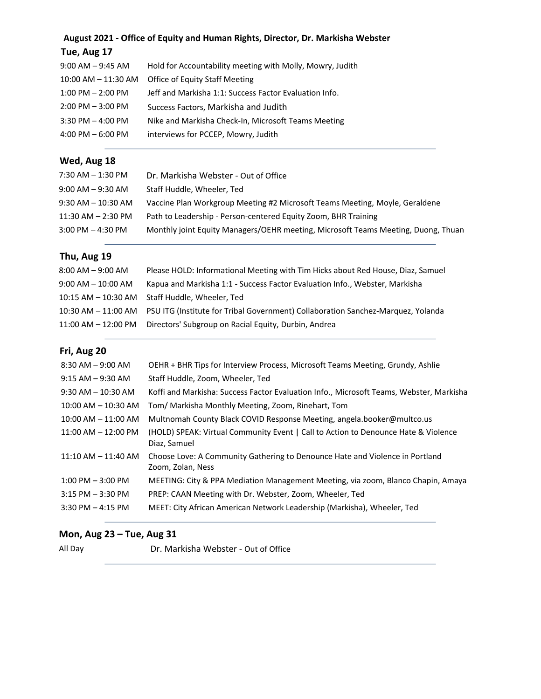# **August 2021 - Office of Equity and Human Rights, Director, Dr. Markisha Webster**

## **Tue, Aug 17**

| $9:00$ AM $-9:45$ AM    | Hold for Accountability meeting with Molly, Mowry, Judith |
|-------------------------|-----------------------------------------------------------|
| $10:00$ AM $-$ 11:30 AM | <b>Office of Equity Staff Meeting</b>                     |
| $1:00$ PM $- 2:00$ PM   | Jeff and Markisha 1:1: Success Factor Evaluation Info.    |
| $2:00$ PM $-3:00$ PM    | Success Factors, Markisha and Judith                      |
| $3:30$ PM $-$ 4:00 PM   | Nike and Markisha Check-In, Microsoft Teams Meeting       |
| $4:00$ PM $-6:00$ PM    | interviews for PCCEP, Mowry, Judith                       |

### **Wed, Aug 18**

| 7:30 AM – 1:30 PM      | Dr. Markisha Webster - Out of Office                                              |
|------------------------|-----------------------------------------------------------------------------------|
| $9:00$ AM $-9:30$ AM   | Staff Huddle, Wheeler, Ted                                                        |
| $9:30$ AM $- 10:30$ AM | Vaccine Plan Workgroup Meeting #2 Microsoft Teams Meeting, Moyle, Geraldene       |
| $11:30$ AM $- 2:30$ PM | Path to Leadership - Person-centered Equity Zoom, BHR Training                    |
| $3:00$ PM $-$ 4:30 PM  | Monthly joint Equity Managers/OEHR meeting, Microsoft Teams Meeting, Duong, Thuan |
|                        |                                                                                   |

### **Thu, Aug 19**

| $8:00$ AM $-9:00$ AM    | Please HOLD: Informational Meeting with Tim Hicks about Red House, Diaz, Samuel  |
|-------------------------|----------------------------------------------------------------------------------|
| $9:00$ AM $-$ 10:00 AM  | Kapua and Markisha 1:1 - Success Factor Evaluation Info., Webster, Markisha      |
| 10:15 AM – 10:30 AM     | Staff Huddle, Wheeler, Ted                                                       |
| 10:30 AM – 11:00 AM     | PSU ITG (Institute for Tribal Government) Collaboration Sanchez-Marquez, Yolanda |
| $11:00$ AM $- 12:00$ PM | Directors' Subgroup on Racial Equity, Durbin, Andrea                             |

### **Fri, Aug 20**

| $8:30$ AM $-9:00$ AM    | OEHR + BHR Tips for Interview Process, Microsoft Teams Meeting, Grundy, Ashlie                     |
|-------------------------|----------------------------------------------------------------------------------------------------|
| $9:15$ AM $-9:30$ AM    | Staff Huddle, Zoom, Wheeler, Ted                                                                   |
| $9:30$ AM $- 10:30$ AM  | Koffi and Markisha: Success Factor Evaluation Info., Microsoft Teams, Webster, Markisha            |
| $10:00$ AM $- 10:30$ AM | Tom/ Markisha Monthly Meeting, Zoom, Rinehart, Tom                                                 |
| $10:00$ AM $- 11:00$ AM | Multnomah County Black COVID Response Meeting, angela.booker@multco.us                             |
| $11:00$ AM $- 12:00$ PM | (HOLD) SPEAK: Virtual Community Event   Call to Action to Denounce Hate & Violence<br>Diaz, Samuel |
| 11:10 AM - 11:40 AM     | Choose Love: A Community Gathering to Denounce Hate and Violence in Portland<br>Zoom, Zolan, Ness  |
| $1:00$ PM $-3:00$ PM    | MEETING: City & PPA Mediation Management Meeting, via zoom, Blanco Chapin, Amaya                   |
| $3:15$ PM $-3:30$ PM    | PREP: CAAN Meeting with Dr. Webster, Zoom, Wheeler, Ted                                            |
| $3:30$ PM $-4:15$ PM    | MEET: City African American Network Leadership (Markisha), Wheeler, Ted                            |
|                         |                                                                                                    |

### **Mon, Aug 23 – Tue, Aug 31**

All Day Dr. Markisha Webster - Out of Office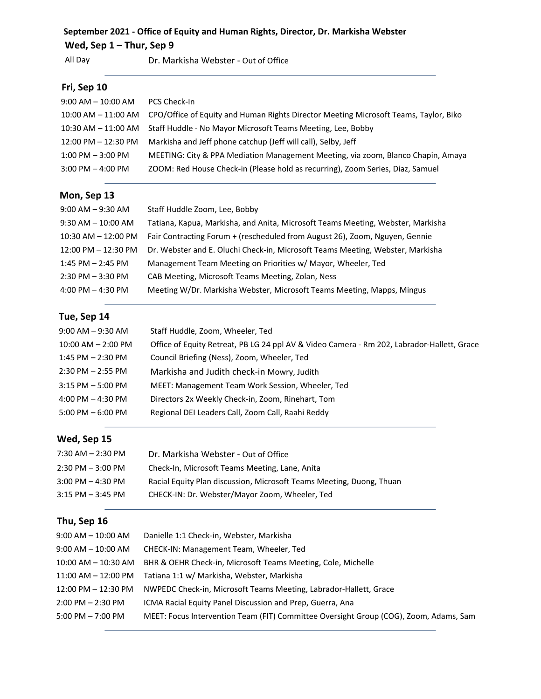### **September 2021 - Office of Equity and Human Rights, Director, Dr. Markisha Webster**

## **Wed, Sep 1 – Thur, Sep 9**

All Day Dr. Markisha Webster - Out of Office

### **Fri, Sep 10**

| $9:00$ AM $- 10:00$ AM  | PCS Check-In                                                                         |
|-------------------------|--------------------------------------------------------------------------------------|
| $10:00$ AM $ 11:00$ AM  | CPO/Office of Equity and Human Rights Director Meeting Microsoft Teams, Taylor, Biko |
| $10:30$ AM $ 11:00$ AM  | Staff Huddle - No Mayor Microsoft Teams Meeting, Lee, Bobby                          |
| $12:00$ PM $- 12:30$ PM | Markisha and Jeff phone catchup (Jeff will call), Selby, Jeff                        |
| $1:00$ PM $-3:00$ PM    | MEETING: City & PPA Mediation Management Meeting, via zoom, Blanco Chapin, Amaya     |
| $3:00$ PM $-$ 4:00 PM   | ZOOM: Red House Check-in (Please hold as recurring), Zoom Series, Diaz, Samuel       |

### **Mon, Sep 13**

| $9:00$ AM $-9:30$ AM    | Staff Huddle Zoom, Lee, Bobby                                                   |
|-------------------------|---------------------------------------------------------------------------------|
| $9:30$ AM $-$ 10:00 AM  | Tatiana, Kapua, Markisha, and Anita, Microsoft Teams Meeting, Webster, Markisha |
| $10:30$ AM $- 12:00$ PM | Fair Contracting Forum + (rescheduled from August 26), Zoom, Nguyen, Gennie     |
| $12:00$ PM $- 12:30$ PM | Dr. Webster and E. Oluchi Check-in, Microsoft Teams Meeting, Webster, Markisha  |
| $1:45$ PM $- 2:45$ PM   | Management Team Meeting on Priorities w/ Mayor, Wheeler, Ted                    |
| $2:30$ PM $-3:30$ PM    | CAB Meeting, Microsoft Teams Meeting, Zolan, Ness                               |
| 4:00 PM $-$ 4:30 PM     | Meeting W/Dr. Markisha Webster, Microsoft Teams Meeting, Mapps, Mingus          |

### **Tue, Sep 14**

| $9:00$ AM $-9:30$ AM   | Staff Huddle, Zoom, Wheeler, Ted                                                           |
|------------------------|--------------------------------------------------------------------------------------------|
| $10:00$ AM $- 2:00$ PM | Office of Equity Retreat, PB LG 24 ppl AV & Video Camera - Rm 202, Labrador-Hallett, Grace |
| $1:45$ PM $- 2:30$ PM  | Council Briefing (Ness), Zoom, Wheeler, Ted                                                |
| $2:30$ PM $- 2:55$ PM  | Markisha and Judith check-in Mowry, Judith                                                 |
| $3:15$ PM $-5:00$ PM   | MEET: Management Team Work Session, Wheeler, Ted                                           |
| 4:00 PM $-$ 4:30 PM    | Directors 2x Weekly Check-in, Zoom, Rinehart, Tom                                          |
| $5:00$ PM $-6:00$ PM   | Regional DEI Leaders Call, Zoom Call, Raahi Reddy                                          |
|                        |                                                                                            |

### **Wed, Sep 15**

| 7:30 AM – 2:30 PM | Dr. Markisha Webster - Out of Office                                 |
|-------------------|----------------------------------------------------------------------|
| 2:30 PM – 3:00 PM | Check-In, Microsoft Teams Meeting, Lane, Anita                       |
| 3:00 PM – 4:30 PM | Racial Equity Plan discussion, Microsoft Teams Meeting, Duong, Thuan |
| 3:15 PM – 3:45 PM | CHECK-IN: Dr. Webster/Mayor Zoom, Wheeler, Ted                       |

### **Thu, Sep 16**

| 9:00 AM – 10:00 AM     | Danielle 1:1 Check-in, Webster, Markisha                                              |
|------------------------|---------------------------------------------------------------------------------------|
| 9:00 AM – 10:00 AM     | CHECK-IN: Management Team, Wheeler, Ted                                               |
| $10:00$ AM $ 10:30$ AM | BHR & OEHR Check-in, Microsoft Teams Meeting, Cole, Michelle                          |
| $11:00$ AM $ 12:00$ PM | Tatiana 1:1 w/ Markisha, Webster, Markisha                                            |
| 12:00 PM - 12:30 PM    | NWPEDC Check-in, Microsoft Teams Meeting, Labrador-Hallett, Grace                     |
| 2:00 PM - 2:30 PM      | ICMA Racial Equity Panel Discussion and Prep. Guerra, Ana                             |
| 5:00 PM – 7:00 PM      | MEET: Focus Intervention Team (FIT) Committee Oversight Group (COG), Zoom, Adams, Sam |
|                        |                                                                                       |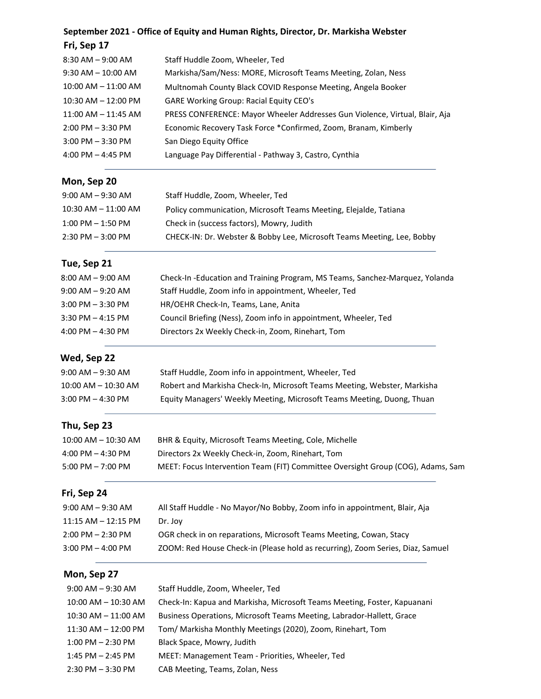### **September 2021 - Office of Equity and Human Rights, Director, Dr. Markisha Webster**

| Fri, Sep 17             |                                                                             |
|-------------------------|-----------------------------------------------------------------------------|
| $8:30$ AM $-9:00$ AM    | Staff Huddle Zoom, Wheeler, Ted                                             |
| $9:30$ AM $-$ 10:00 AM  | Markisha/Sam/Ness: MORE, Microsoft Teams Meeting, Zolan, Ness               |
| $10:00$ AM $-$ 11:00 AM | Multnomah County Black COVID Response Meeting, Angela Booker                |
| $10:30$ AM $- 12:00$ PM | <b>GARE Working Group: Racial Equity CEO's</b>                              |
| $11:00$ AM $-11:45$ AM  | PRESS CONFERENCE: Mayor Wheeler Addresses Gun Violence, Virtual, Blair, Aja |
| $2:00$ PM $-3:30$ PM    | Economic Recovery Task Force *Confirmed, Zoom, Branam, Kimberly             |
| $3:00$ PM $-3:30$ PM    | San Diego Equity Office                                                     |
| 4:00 PM $-$ 4:45 PM     | Language Pay Differential - Pathway 3, Castro, Cynthia                      |

### **Mon, Sep 20**

| 9:00 AM – 9:30 AM       | Staff Huddle, Zoom, Wheeler, Ted                                       |
|-------------------------|------------------------------------------------------------------------|
| $10:30$ AM $-$ 11:00 AM | Policy communication, Microsoft Teams Meeting, Elejalde, Tatiana       |
| $1:00$ PM $-1:50$ PM    | Check in (success factors), Mowry, Judith                              |
| $2:30$ PM $-3:00$ PM    | CHECK-IN: Dr. Webster & Bobby Lee, Microsoft Teams Meeting, Lee, Bobby |

# **Tue, Sep 21**

| $8:00$ AM $-9:00$ AM  | Check-In-Education and Training Program, MS Teams, Sanchez-Marquez, Yolanda |
|-----------------------|-----------------------------------------------------------------------------|
| $9:00$ AM $-9:20$ AM  | Staff Huddle, Zoom info in appointment, Wheeler, Ted                        |
| $3:00$ PM $-3:30$ PM  | HR/OEHR Check-In, Teams, Lane, Anita                                        |
| $3:30$ PM $-$ 4:15 PM | Council Briefing (Ness), Zoom info in appointment, Wheeler, Ted             |
| 4:00 PM $-$ 4:30 PM   | Directors 2x Weekly Check-in, Zoom, Rinehart, Tom                           |
|                       |                                                                             |

### **Wed, Sep 22**

| 9:00 AM – 9:30 AM   | Staff Huddle, Zoom info in appointment, Wheeler, Ted                     |
|---------------------|--------------------------------------------------------------------------|
| 10:00 AM – 10:30 AM | Robert and Markisha Check-In, Microsoft Teams Meeting, Webster, Markisha |
| 3:00 PM – 4:30 PM   | Equity Managers' Weekly Meeting, Microsoft Teams Meeting, Duong, Thuan   |

### **Thu, Sep 23**

| $10:00$ AM $- 10:30$ AM             | BHR & Equity, Microsoft Teams Meeting, Cole, Michelle                           |
|-------------------------------------|---------------------------------------------------------------------------------|
| $4:00 \text{ PM} - 4:30 \text{ PM}$ | Directors 2x Weekly Check-in, Zoom, Rinehart, Tom                               |
| $5:00 \text{ PM} - 7:00 \text{ PM}$ | MEET: Focus Intervention Team (FIT) Committee Oversight Group (COG), Adams, Sam |

### **Fri, Sep 24**

| 9:00 AM – 9:30 AM       | All Staff Huddle - No Mayor/No Bobby, Zoom info in appointment, Blair, Aja     |
|-------------------------|--------------------------------------------------------------------------------|
| $11:15$ AM $-$ 12:15 PM | Dr. Jov                                                                        |
| $2:00$ PM $- 2:30$ PM   | OGR check in on reparations, Microsoft Teams Meeting, Cowan, Stacy             |
| $3:00$ PM $-$ 4:00 PM   | ZOOM: Red House Check-in (Please hold as recurring), Zoom Series, Diaz, Samuel |
|                         |                                                                                |

### **Mon, Sep 27**

| $9:00$ AM $-9:30$ AM    | Staff Huddle, Zoom, Wheeler, Ted                                         |
|-------------------------|--------------------------------------------------------------------------|
| $10:00$ AM $- 10:30$ AM | Check-In: Kapua and Markisha, Microsoft Teams Meeting, Foster, Kapuanani |
| $10:30$ AM $- 11:00$ AM | Business Operations, Microsoft Teams Meeting, Labrador-Hallett, Grace    |
| $11:30$ AM $- 12:00$ PM | Tom/ Markisha Monthly Meetings (2020), Zoom, Rinehart, Tom               |
| $1:00$ PM $- 2:30$ PM   | Black Space, Mowry, Judith                                               |
| 1:45 PM $-$ 2:45 PM     | MEET: Management Team - Priorities, Wheeler, Ted                         |
| $2:30$ PM $-3:30$ PM    | CAB Meeting, Teams, Zolan, Ness                                          |